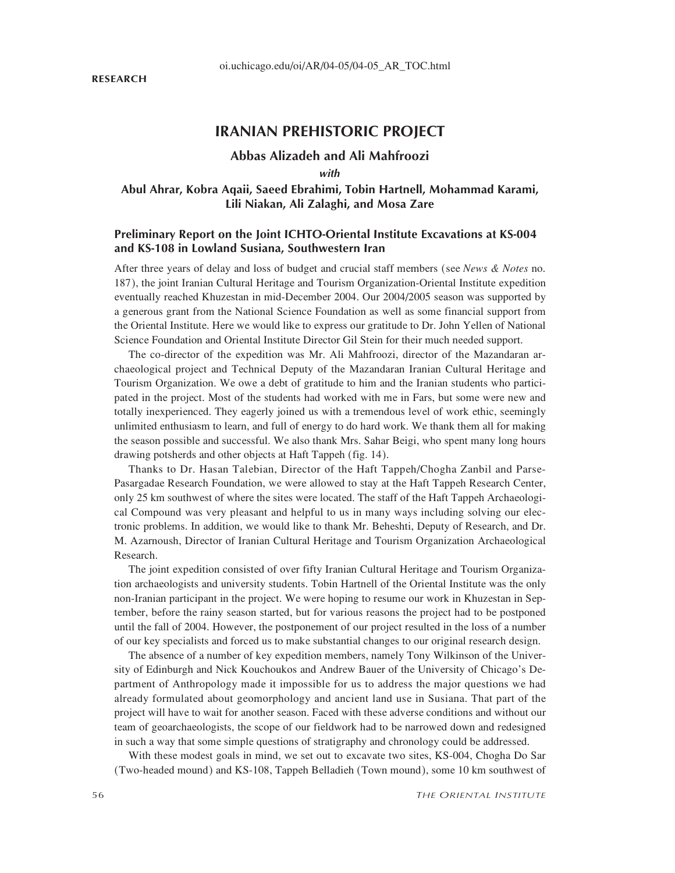# **IRANIAN PREHISTORIC PROJECT**

## **Abbas Alizadeh and Ali Mahfroozi**

*with*

# **Abul Ahrar, Kobra Aqaii, Saeed Ebrahimi, Tobin Hartnell, Mohammad Karami, Lili Niakan, Ali Zalaghi, and Mosa Zare**

## **Preliminary Report on the Joint ICHTO-Oriental Institute Excavations at KS-004 and KS-108 in Lowland Susiana, Southwestern Iran**

After three years of delay and loss of budget and crucial staff members (see *News & Notes* no. 187), the joint Iranian Cultural Heritage and Tourism Organization-Oriental Institute expedition eventually reached Khuzestan in mid-December 2004. Our 2004/2005 season was supported by a generous grant from the National Science Foundation as well as some financial support from the Oriental Institute. Here we would like to express our gratitude to Dr. John Yellen of National Science Foundation and Oriental Institute Director Gil Stein for their much needed support.

The co-director of the expedition was Mr. Ali Mahfroozi, director of the Mazandaran archaeological project and Technical Deputy of the Mazandaran Iranian Cultural Heritage and Tourism Organization. We owe a debt of gratitude to him and the Iranian students who participated in the project. Most of the students had worked with me in Fars, but some were new and totally inexperienced. They eagerly joined us with a tremendous level of work ethic, seemingly unlimited enthusiasm to learn, and full of energy to do hard work. We thank them all for making the season possible and successful. We also thank Mrs. Sahar Beigi, who spent many long hours drawing potsherds and other objects at Haft Tappeh (fig. 14).

Thanks to Dr. Hasan Talebian, Director of the Haft Tappeh/Chogha Zanbil and Parse-Pasargadae Research Foundation, we were allowed to stay at the Haft Tappeh Research Center, only 25 km southwest of where the sites were located. The staff of the Haft Tappeh Archaeological Compound was very pleasant and helpful to us in many ways including solving our electronic problems. In addition, we would like to thank Mr. Beheshti, Deputy of Research, and Dr. M. Azarnoush, Director of Iranian Cultural Heritage and Tourism Organization Archaeological Research.

The joint expedition consisted of over fifty Iranian Cultural Heritage and Tourism Organization archaeologists and university students. Tobin Hartnell of the Oriental Institute was the only non-Iranian participant in the project. We were hoping to resume our work in Khuzestan in September, before the rainy season started, but for various reasons the project had to be postponed until the fall of 2004. However, the postponement of our project resulted in the loss of a number of our key specialists and forced us to make substantial changes to our original research design.

The absence of a number of key expedition members, namely Tony Wilkinson of the University of Edinburgh and Nick Kouchoukos and Andrew Bauer of the University of Chicago's Department of Anthropology made it impossible for us to address the major questions we had already formulated about geomorphology and ancient land use in Susiana. That part of the project will have to wait for another season. Faced with these adverse conditions and without our team of geoarchaeologists, the scope of our fieldwork had to be narrowed down and redesigned in such a way that some simple questions of stratigraphy and chronology could be addressed.

With these modest goals in mind, we set out to excavate two sites, KS-004, Chogha Do Sar (Two-headed mound) and KS-108, Tappeh Belladieh (Town mound), some 10 km southwest of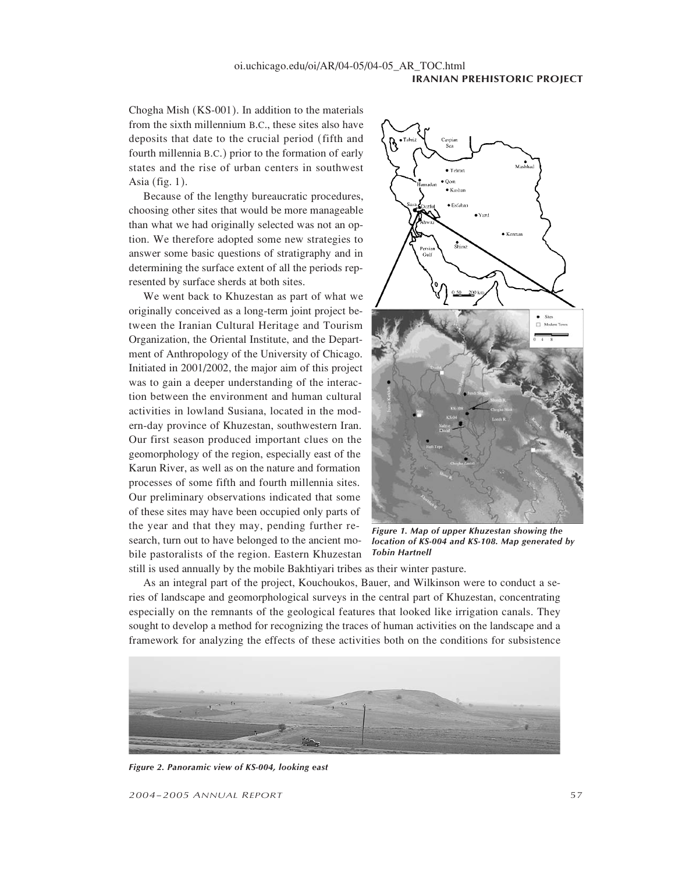Chogha Mish (KS-001). In addition to the materials from the sixth millennium B.C., these sites also have deposits that date to the crucial period (fifth and fourth millennia B.C.) prior to the formation of early states and the rise of urban centers in southwest Asia (fig. 1).

Because of the lengthy bureaucratic procedures, choosing other sites that would be more manageable than what we had originally selected was not an option. We therefore adopted some new strategies to answer some basic questions of stratigraphy and in determining the surface extent of all the periods represented by surface sherds at both sites.

We went back to Khuzestan as part of what we originally conceived as a long-term joint project between the Iranian Cultural Heritage and Tourism Organization, the Oriental Institute, and the Department of Anthropology of the University of Chicago. Initiated in 2001/2002, the major aim of this project was to gain a deeper understanding of the interaction between the environment and human cultural activities in lowland Susiana, located in the modern-day province of Khuzestan, southwestern Iran. Our first season produced important clues on the geomorphology of the region, especially east of the Karun River, as well as on the nature and formation processes of some fifth and fourth millennia sites. Our preliminary observations indicated that some of these sites may have been occupied only parts of the year and that they may, pending further research, turn out to have belonged to the ancient mobile pastoralists of the region. Eastern Khuzestan



*Figure 1. Map of upper Khuzestan showing the location of KS-004 and KS-108. Map generated by Tobin Hartnell*

still is used annually by the mobile Bakhtiyari tribes as their winter pasture.

As an integral part of the project, Kouchoukos, Bauer, and Wilkinson were to conduct a series of landscape and geomorphological surveys in the central part of Khuzestan, concentrating especially on the remnants of the geological features that looked like irrigation canals. They sought to develop a method for recognizing the traces of human activities on the landscape and a framework for analyzing the effects of these activities both on the conditions for subsistence



*Figure 2. Panoramic view of KS-004, looking east*

*2004–2005 ANNUAL REPORT* 57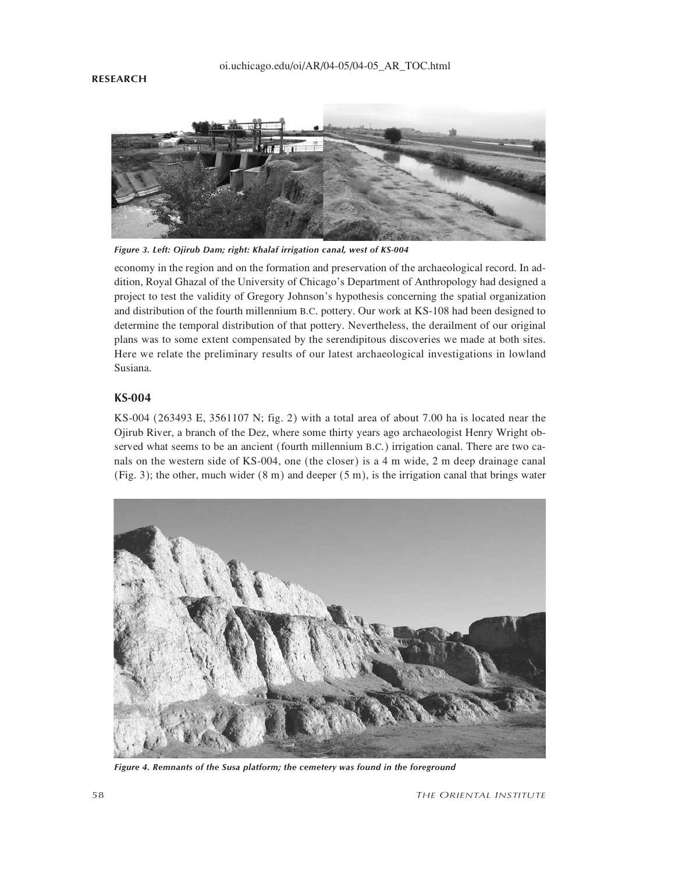### **RESEARCH**



*Figure 3. Left: Ojirub Dam; right: Khalaf irrigation canal, west of KS-004*

economy in the region and on the formation and preservation of the archaeological record. In addition, Royal Ghazal of the University of Chicago's Department of Anthropology had designed a project to test the validity of Gregory Johnson's hypothesis concerning the spatial organization and distribution of the fourth millennium B.C. pottery. Our work at KS-108 had been designed to determine the temporal distribution of that pottery. Nevertheless, the derailment of our original plans was to some extent compensated by the serendipitous discoveries we made at both sites. Here we relate the preliminary results of our latest archaeological investigations in lowland Susiana.

## **KS-004**

KS-004 (263493 E, 3561107 N; fig. 2) with a total area of about 7.00 ha is located near the Ojirub River, a branch of the Dez, where some thirty years ago archaeologist Henry Wright observed what seems to be an ancient (fourth millennium B.C.) irrigation canal. There are two canals on the western side of KS-004, one (the closer) is a 4 m wide, 2 m deep drainage canal (Fig. 3); the other, much wider (8 m) and deeper (5 m), is the irrigation canal that brings water



*Figure 4. Remnants of the Susa platform; the cemetery was found in the foreground*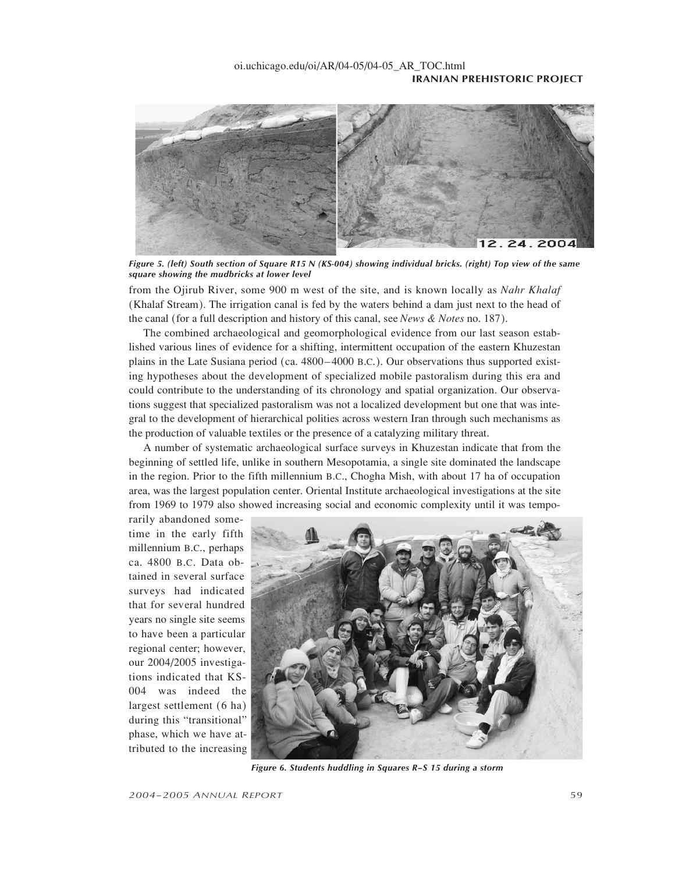

*Figure 5. (left) South section of Square R15 N (KS-004) showing individual bricks. (right) Top view of the same square showing the mudbricks at lower level*

from the Ojirub River, some 900 m west of the site, and is known locally as *Nahr Khalaf* (Khalaf Stream). The irrigation canal is fed by the waters behind a dam just next to the head of the canal (for a full description and history of this canal, see *News & Notes* no. 187).

The combined archaeological and geomorphological evidence from our last season established various lines of evidence for a shifting, intermittent occupation of the eastern Khuzestan plains in the Late Susiana period (ca. 4800–4000 B.C.). Our observations thus supported existing hypotheses about the development of specialized mobile pastoralism during this era and could contribute to the understanding of its chronology and spatial organization. Our observations suggest that specialized pastoralism was not a localized development but one that was integral to the development of hierarchical polities across western Iran through such mechanisms as the production of valuable textiles or the presence of a catalyzing military threat.

A number of systematic archaeological surface surveys in Khuzestan indicate that from the beginning of settled life, unlike in southern Mesopotamia, a single site dominated the landscape in the region. Prior to the fifth millennium B.C., Chogha Mish, with about 17 ha of occupation area, was the largest population center. Oriental Institute archaeological investigations at the site from 1969 to 1979 also showed increasing social and economic complexity until it was tempo-

rarily abandoned sometime in the early fifth millennium B.C., perhaps ca. 4800 B.C. Data obtained in several surface surveys had indicated that for several hundred years no single site seems to have been a particular regional center; however, our 2004/2005 investigations indicated that KS-004 was indeed the largest settlement (6 ha) during this "transitional" phase, which we have attributed to the increasing



*Figure 6. Students huddling in Squares R–S 15 during a storm*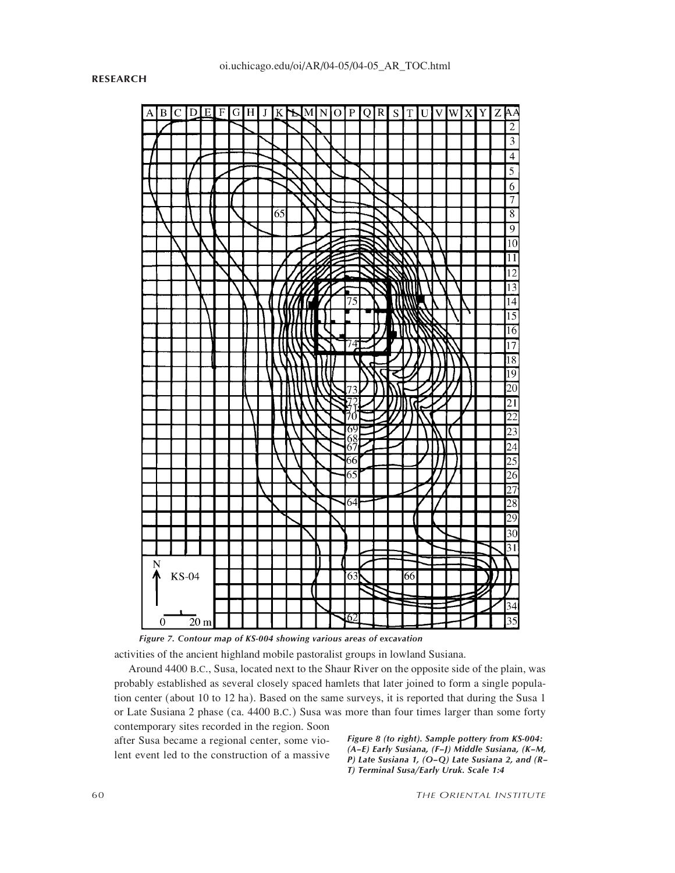

*Figure 7. Contour map of KS-004 showing various areas of excavation*

activities of the ancient highland mobile pastoralist groups in lowland Susiana.

Around 4400 B.C., Susa, located next to the Shaur River on the opposite side of the plain, was probably established as several closely spaced hamlets that later joined to form a single population center (about 10 to 12 ha). Based on the same surveys, it is reported that during the Susa 1 or Late Susiana 2 phase (ca. 4400 B.C.) Susa was more than four times larger than some forty contemporary sites recorded in the region. Soon

after Susa became a regional center, some violent event led to the construction of a massive *Figure 8 (to right). Sample pottery from KS-004: (A–E) Early Susiana, (F–J) Middle Susiana, (K–M, P) Late Susiana 1, (O–Q) Late Susiana 2, and (R– T) Terminal Susa/Early Uruk. Scale 1:4*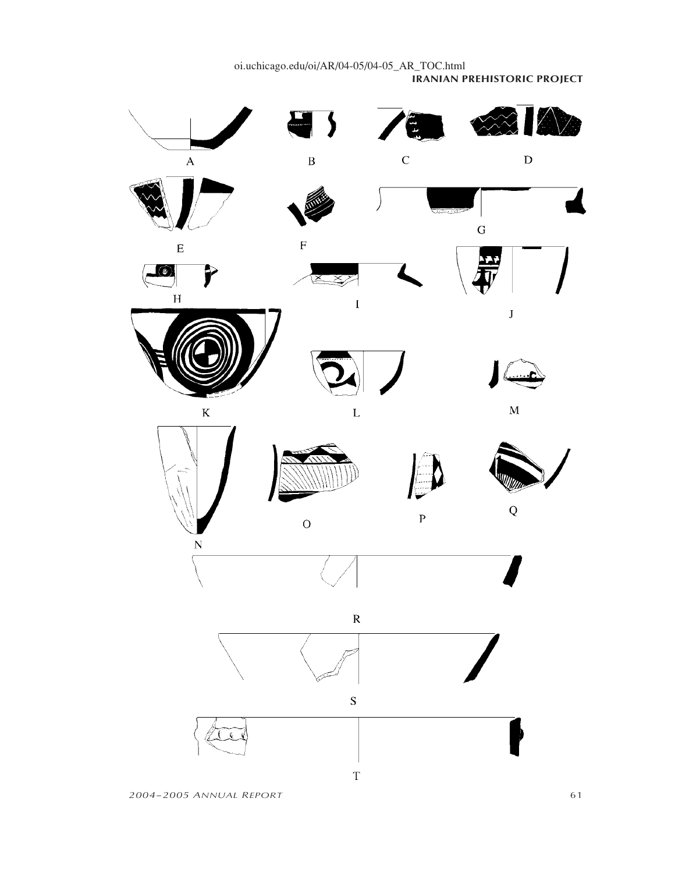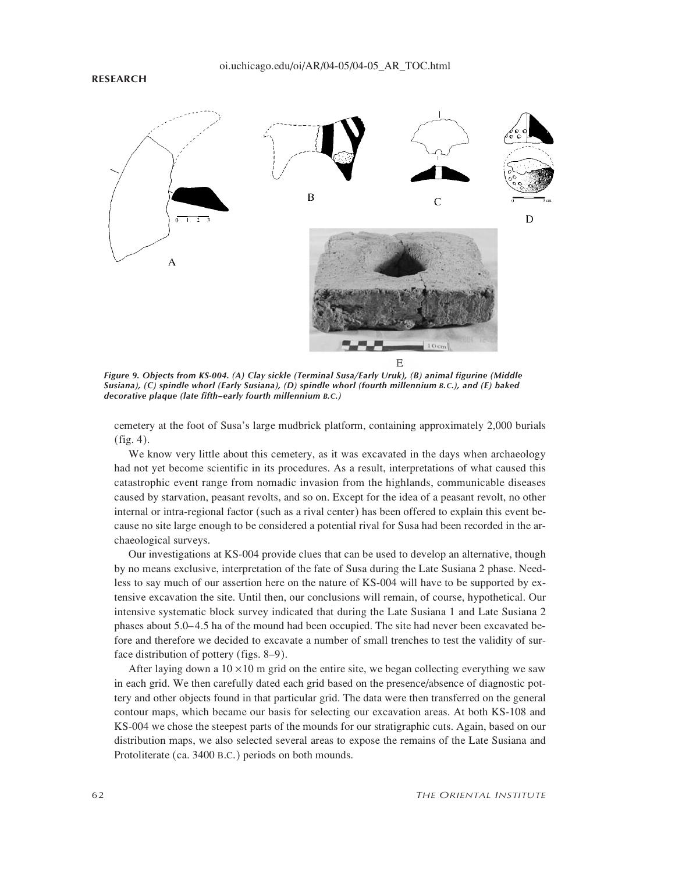#### oi.uchicago.edu/oi/AR/04-05/04-05\_AR\_TOC.html

#### **RESEARCH**



*Figure 9. Objects from KS-004. (A) Clay sickle (Terminal Susa/Early Uruk), (B) animal figurine (Middle Susiana), (C) spindle whorl (Early Susiana), (D) spindle whorl (fourth millennium B.C.), and (E) baked decorative plaque (late fifth–early fourth millennium B.C.)*

cemetery at the foot of Susa's large mudbrick platform, containing approximately 2,000 burials (fig. 4).

We know very little about this cemetery, as it was excavated in the days when archaeology had not yet become scientific in its procedures. As a result, interpretations of what caused this catastrophic event range from nomadic invasion from the highlands, communicable diseases caused by starvation, peasant revolts, and so on. Except for the idea of a peasant revolt, no other internal or intra-regional factor (such as a rival center) has been offered to explain this event because no site large enough to be considered a potential rival for Susa had been recorded in the archaeological surveys.

Our investigations at KS-004 provide clues that can be used to develop an alternative, though by no means exclusive, interpretation of the fate of Susa during the Late Susiana 2 phase. Needless to say much of our assertion here on the nature of KS-004 will have to be supported by extensive excavation the site. Until then, our conclusions will remain, of course, hypothetical. Our intensive systematic block survey indicated that during the Late Susiana 1 and Late Susiana 2 phases about 5.0–4.5 ha of the mound had been occupied. The site had never been excavated before and therefore we decided to excavate a number of small trenches to test the validity of surface distribution of pottery (figs. 8–9).

After laying down a  $10 \times 10$  m grid on the entire site, we began collecting everything we saw in each grid. We then carefully dated each grid based on the presence/absence of diagnostic pottery and other objects found in that particular grid. The data were then transferred on the general contour maps, which became our basis for selecting our excavation areas. At both KS-108 and KS-004 we chose the steepest parts of the mounds for our stratigraphic cuts. Again, based on our distribution maps, we also selected several areas to expose the remains of the Late Susiana and Protoliterate (ca. 3400 B.C.) periods on both mounds.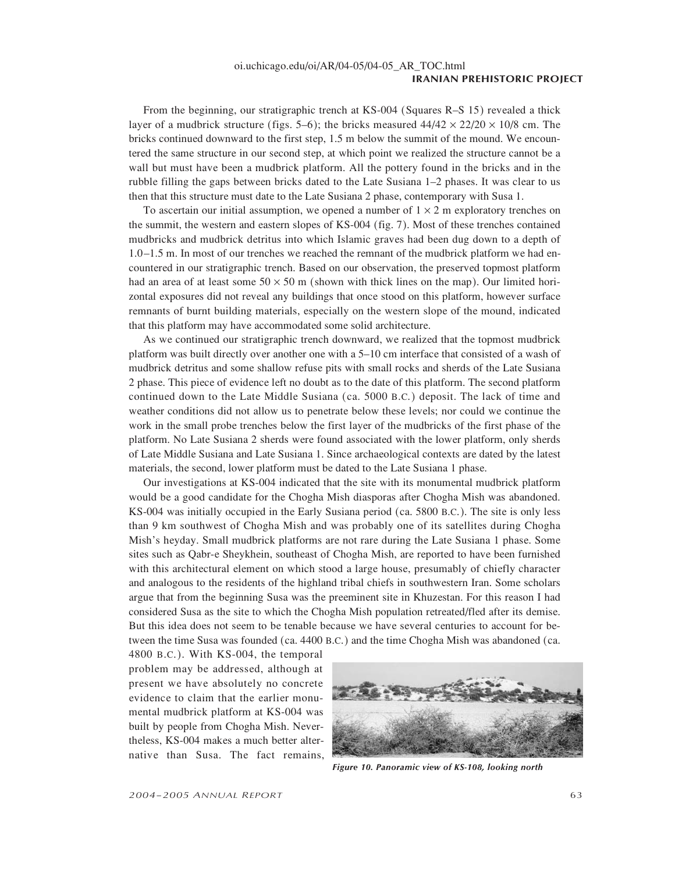From the beginning, our stratigraphic trench at KS-004 (Squares R–S 15) revealed a thick layer of a mudbrick structure (figs. 5–6); the bricks measured  $44/42 \times 22/20 \times 10/8$  cm. The bricks continued downward to the first step, 1.5 m below the summit of the mound. We encountered the same structure in our second step, at which point we realized the structure cannot be a wall but must have been a mudbrick platform. All the pottery found in the bricks and in the rubble filling the gaps between bricks dated to the Late Susiana 1–2 phases. It was clear to us then that this structure must date to the Late Susiana 2 phase, contemporary with Susa 1.

To ascertain our initial assumption, we opened a number of  $1 \times 2$  m exploratory trenches on the summit, the western and eastern slopes of KS-004 (fig. 7). Most of these trenches contained mudbricks and mudbrick detritus into which Islamic graves had been dug down to a depth of 1.0–1.5 m. In most of our trenches we reached the remnant of the mudbrick platform we had encountered in our stratigraphic trench. Based on our observation, the preserved topmost platform had an area of at least some  $50 \times 50$  m (shown with thick lines on the map). Our limited horizontal exposures did not reveal any buildings that once stood on this platform, however surface remnants of burnt building materials, especially on the western slope of the mound, indicated that this platform may have accommodated some solid architecture.

As we continued our stratigraphic trench downward, we realized that the topmost mudbrick platform was built directly over another one with a 5–10 cm interface that consisted of a wash of mudbrick detritus and some shallow refuse pits with small rocks and sherds of the Late Susiana 2 phase. This piece of evidence left no doubt as to the date of this platform. The second platform continued down to the Late Middle Susiana (ca. 5000 B.C.) deposit. The lack of time and weather conditions did not allow us to penetrate below these levels; nor could we continue the work in the small probe trenches below the first layer of the mudbricks of the first phase of the platform. No Late Susiana 2 sherds were found associated with the lower platform, only sherds of Late Middle Susiana and Late Susiana 1. Since archaeological contexts are dated by the latest materials, the second, lower platform must be dated to the Late Susiana 1 phase.

Our investigations at KS-004 indicated that the site with its monumental mudbrick platform would be a good candidate for the Chogha Mish diasporas after Chogha Mish was abandoned. KS-004 was initially occupied in the Early Susiana period (ca. 5800 B.C.). The site is only less than 9 km southwest of Chogha Mish and was probably one of its satellites during Chogha Mish's heyday. Small mudbrick platforms are not rare during the Late Susiana 1 phase. Some sites such as Qabr-e Sheykhein, southeast of Chogha Mish, are reported to have been furnished with this architectural element on which stood a large house, presumably of chiefly character and analogous to the residents of the highland tribal chiefs in southwestern Iran. Some scholars argue that from the beginning Susa was the preeminent site in Khuzestan. For this reason I had considered Susa as the site to which the Chogha Mish population retreated/fled after its demise. But this idea does not seem to be tenable because we have several centuries to account for between the time Susa was founded (ca. 4400 B.C.) and the time Chogha Mish was abandoned (ca.

4800 B.C.). With KS-004, the temporal problem may be addressed, although at present we have absolutely no concrete evidence to claim that the earlier monumental mudbrick platform at KS-004 was built by people from Chogha Mish. Nevertheless, KS-004 makes a much better alternative than Susa. The fact remains,



*Figure 10. Panoramic view of KS-108, looking north*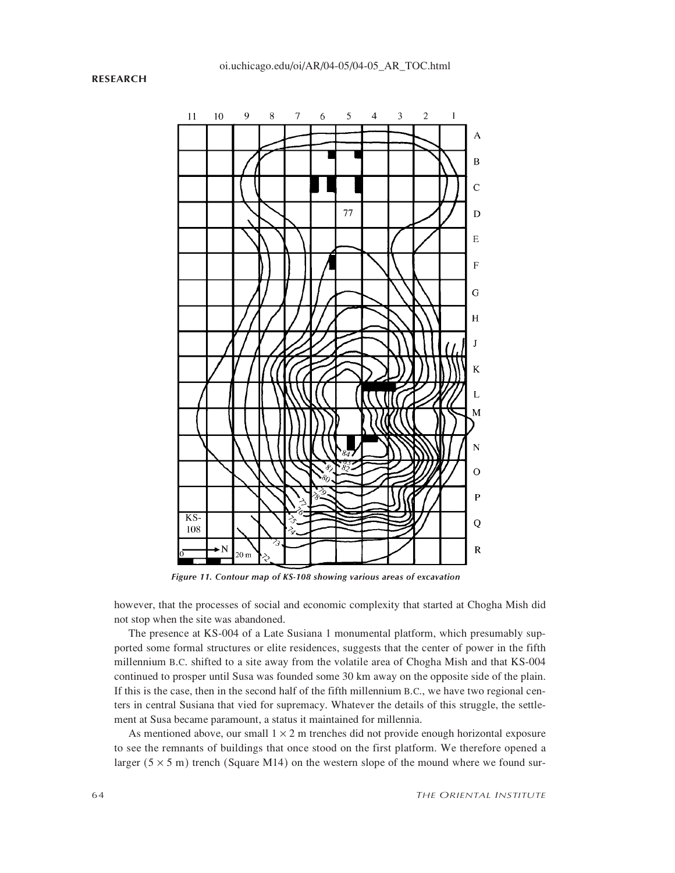### **RESEARCH**



*Figure 11. Contour map of KS-108 showing various areas of excavation*

however, that the processes of social and economic complexity that started at Chogha Mish did not stop when the site was abandoned.

The presence at KS-004 of a Late Susiana 1 monumental platform, which presumably supported some formal structures or elite residences, suggests that the center of power in the fifth millennium B.C. shifted to a site away from the volatile area of Chogha Mish and that KS-004 continued to prosper until Susa was founded some 30 km away on the opposite side of the plain. If this is the case, then in the second half of the fifth millennium B.C., we have two regional centers in central Susiana that vied for supremacy. Whatever the details of this struggle, the settlement at Susa became paramount, a status it maintained for millennia.

As mentioned above, our small  $1 \times 2$  m trenches did not provide enough horizontal exposure to see the remnants of buildings that once stood on the first platform. We therefore opened a larger ( $5 \times 5$  m) trench (Square M14) on the western slope of the mound where we found sur-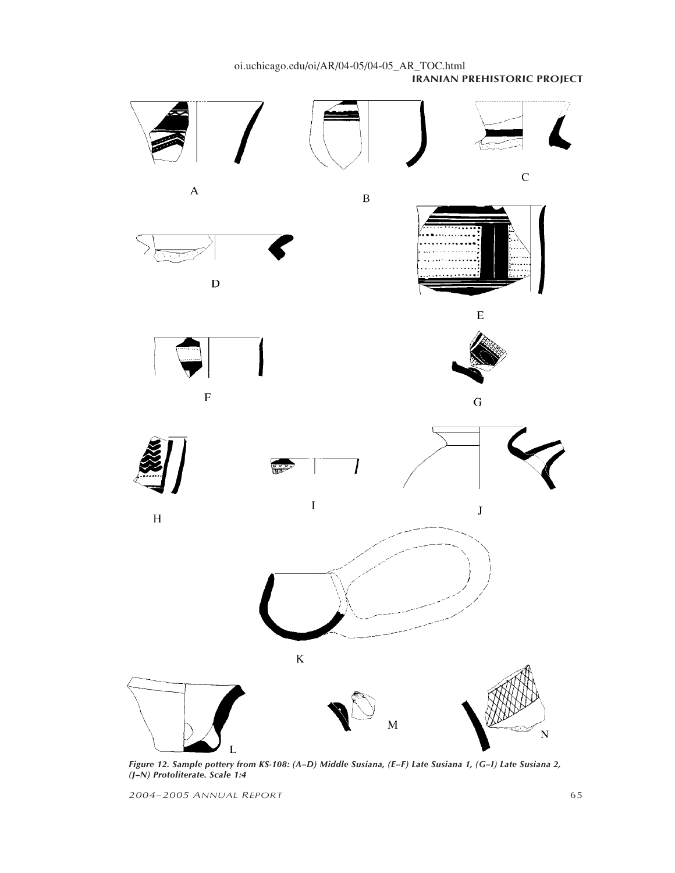

*Figure 12. Sample pottery from KS-108: (A–D) Middle Susiana, (E–F) Late Susiana 1, (G–I) Late Susiana 2, (J–N) Protoliterate. Scale 1:4*

*2004–2005 ANNUAL REPORT* 65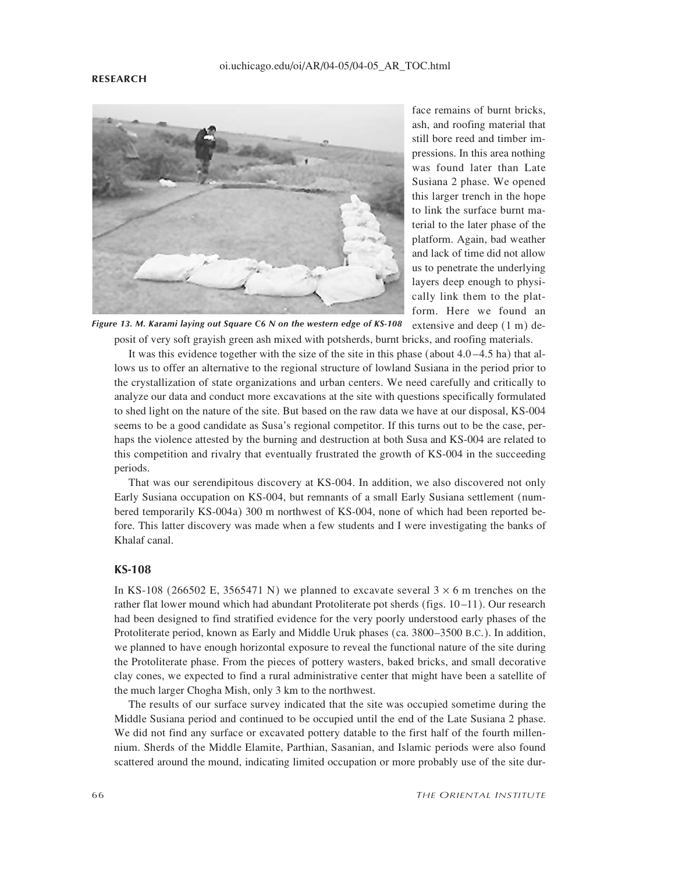

face remains of burnt bricks, ash, and roofing material that still bore reed and timber impressions. In this area nothing was found later than Late Susiana 2 phase. We opened this larger trench in the hope to link the surface burnt material to the later phase of the platform. Again, bad weather and lack of time did not allow us to penetrate the underlying layers deep enough to physically link them to the platform. Here we found an extensive and deep (1 m) de-

posit of very soft grayish green ash mixed with potsherds, burnt bricks, and roofing materials. *Figure 13. M. Karami laying out Square C6 N on the western edge of KS-108*

It was this evidence together with the size of the site in this phase (about  $4.0 - 4.5$  ha) that allows us to offer an alternative to the regional structure of lowland Susiana in the period prior to the crystallization of state organizations and urban centers. We need carefully and critically to analyze our data and conduct more excavations at the site with questions specifically formulated to shed light on the nature of the site. But based on the raw data we have at our disposal, KS-004 seems to be a good candidate as Susa's regional competitor. If this turns out to be the case, perhaps the violence attested by the burning and destruction at both Susa and KS-004 are related to this competition and rivalry that eventually frustrated the growth of KS-004 in the succeeding periods.

That was our serendipitous discovery at KS-004. In addition, we also discovered not only Early Susiana occupation on KS-004, but remnants of a small Early Susiana settlement (numbered temporarily KS-004a) 300 m northwest of KS-004, none of which had been reported before. This latter discovery was made when a few students and I were investigating the banks of Khalaf canal.

## **KS-108**

In KS-108 (266502 E, 3565471 N) we planned to excavate several  $3 \times 6$  m trenches on the rather flat lower mound which had abundant Protoliterate pot sherds (figs. 10 –11). Our research had been designed to find stratified evidence for the very poorly understood early phases of the Protoliterate period, known as Early and Middle Uruk phases (ca. 3800–3500 B.C.). In addition, we planned to have enough horizontal exposure to reveal the functional nature of the site during the Protoliterate phase. From the pieces of pottery wasters, baked bricks, and small decorative clay cones, we expected to find a rural administrative center that might have been a satellite of the much larger Chogha Mish, only 3 km to the northwest.

The results of our surface survey indicated that the site was occupied sometime during the Middle Susiana period and continued to be occupied until the end of the Late Susiana 2 phase. We did not find any surface or excavated pottery datable to the first half of the fourth millennium. Sherds of the Middle Elamite, Parthian, Sasanian, and Islamic periods were also found scattered around the mound, indicating limited occupation or more probably use of the site dur-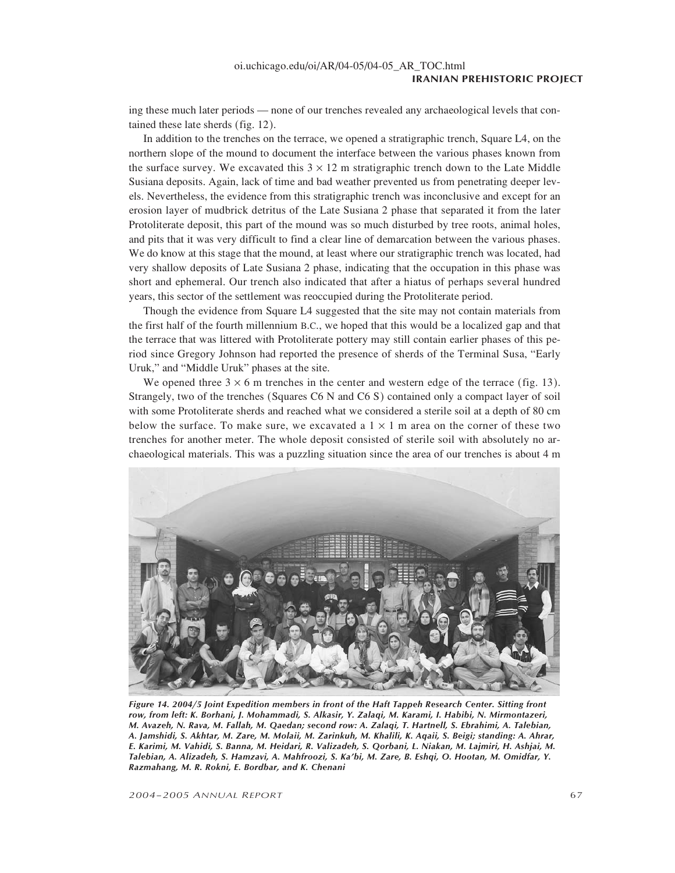ing these much later periods — none of our trenches revealed any archaeological levels that contained these late sherds (fig. 12).

In addition to the trenches on the terrace, we opened a stratigraphic trench, Square L4, on the northern slope of the mound to document the interface between the various phases known from the surface survey. We excavated this  $3 \times 12$  m stratigraphic trench down to the Late Middle Susiana deposits. Again, lack of time and bad weather prevented us from penetrating deeper levels. Nevertheless, the evidence from this stratigraphic trench was inconclusive and except for an erosion layer of mudbrick detritus of the Late Susiana 2 phase that separated it from the later Protoliterate deposit, this part of the mound was so much disturbed by tree roots, animal holes, and pits that it was very difficult to find a clear line of demarcation between the various phases. We do know at this stage that the mound, at least where our stratigraphic trench was located, had very shallow deposits of Late Susiana 2 phase, indicating that the occupation in this phase was short and ephemeral. Our trench also indicated that after a hiatus of perhaps several hundred years, this sector of the settlement was reoccupied during the Protoliterate period.

Though the evidence from Square L4 suggested that the site may not contain materials from the first half of the fourth millennium B.C., we hoped that this would be a localized gap and that the terrace that was littered with Protoliterate pottery may still contain earlier phases of this period since Gregory Johnson had reported the presence of sherds of the Terminal Susa, "Early Uruk," and "Middle Uruk" phases at the site.

We opened three  $3 \times 6$  m trenches in the center and western edge of the terrace (fig. 13). Strangely, two of the trenches (Squares C6 N and C6 S) contained only a compact layer of soil with some Protoliterate sherds and reached what we considered a sterile soil at a depth of 80 cm below the surface. To make sure, we excavated a  $1 \times 1$  m area on the corner of these two trenches for another meter. The whole deposit consisted of sterile soil with absolutely no archaeological materials. This was a puzzling situation since the area of our trenches is about 4 m



*Figure 14. 2004/5 Joint Expedition members in front of the Haft Tappeh Research Center. Sitting front row, from left: K. Borhani, J. Mohammadi, S. Alkasir, Y. Zalaqi, M. Karami, I. Habibi, N. Mirmontazeri, M. Avazeh, N. Rava, M. Fallah, M. Qaedan; second row: A. Zalaqi, T. Hartnell, S. Ebrahimi, A. Talebian, A. Jamshidi, S. Akhtar, M. Zare, M. Molaii, M. Zarinkuh, M. Khalili, K. Aqaii, S. Beigi; standing: A. Ahrar, E. Karimi, M. Vahidi, S. Banna, M. Heidari, R. Valizadeh, S. Qorbani, L. Niakan, M. Lajmiri, H. Ashjai, M. Talebian, A. Alizadeh, S. Hamzavi, A. Mahfroozi, S. Ka'bi, M. Zare, B. Eshqi, O. Hootan, M. Omidfar, Y. Razmahang, M. R. Rokni, E. Bordbar, and K. Chenani*

*2004–2005 ANNUAL REPORT* 67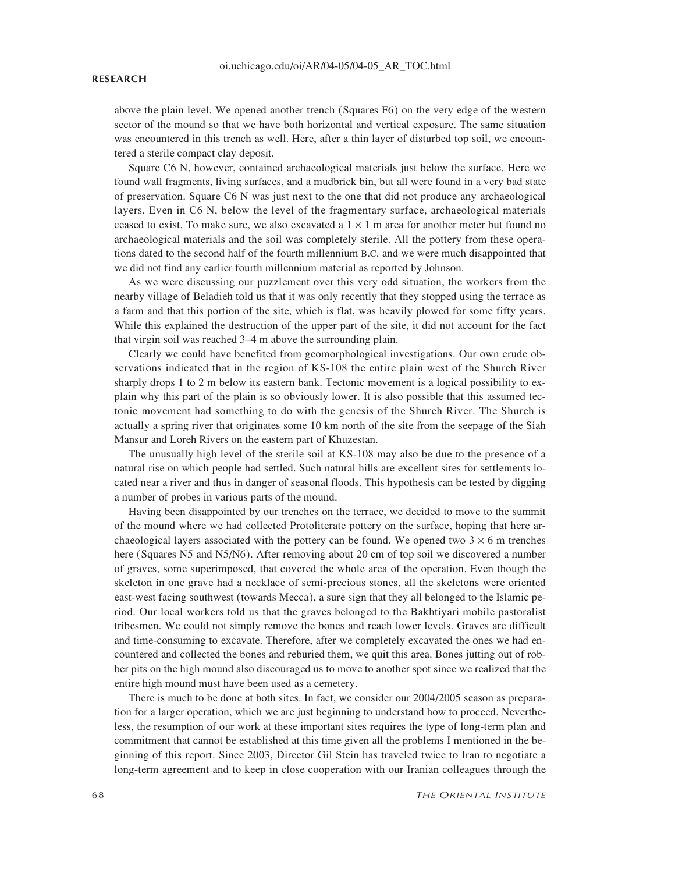### **RESEARCH**

above the plain level. We opened another trench (Squares F6) on the very edge of the western sector of the mound so that we have both horizontal and vertical exposure. The same situation was encountered in this trench as well. Here, after a thin layer of disturbed top soil, we encountered a sterile compact clay deposit.

Square C6 N, however, contained archaeological materials just below the surface. Here we found wall fragments, living surfaces, and a mudbrick bin, but all were found in a very bad state of preservation. Square C6 N was just next to the one that did not produce any archaeological layers. Even in C6 N, below the level of the fragmentary surface, archaeological materials ceased to exist. To make sure, we also excavated a  $1 \times 1$  m area for another meter but found no archaeological materials and the soil was completely sterile. All the pottery from these operations dated to the second half of the fourth millennium B.C. and we were much disappointed that we did not find any earlier fourth millennium material as reported by Johnson.

As we were discussing our puzzlement over this very odd situation, the workers from the nearby village of Beladieh told us that it was only recently that they stopped using the terrace as a farm and that this portion of the site, which is flat, was heavily plowed for some fifty years. While this explained the destruction of the upper part of the site, it did not account for the fact that virgin soil was reached 3–4 m above the surrounding plain.

Clearly we could have benefited from geomorphological investigations. Our own crude observations indicated that in the region of KS-108 the entire plain west of the Shureh River sharply drops 1 to 2 m below its eastern bank. Tectonic movement is a logical possibility to explain why this part of the plain is so obviously lower. It is also possible that this assumed tectonic movement had something to do with the genesis of the Shureh River. The Shureh is actually a spring river that originates some 10 km north of the site from the seepage of the Siah Mansur and Loreh Rivers on the eastern part of Khuzestan.

The unusually high level of the sterile soil at KS-108 may also be due to the presence of a natural rise on which people had settled. Such natural hills are excellent sites for settlements located near a river and thus in danger of seasonal floods. This hypothesis can be tested by digging a number of probes in various parts of the mound.

Having been disappointed by our trenches on the terrace, we decided to move to the summit of the mound where we had collected Protoliterate pottery on the surface, hoping that here archaeological layers associated with the pottery can be found. We opened two  $3 \times 6$  m trenches here (Squares N5 and N5/N6). After removing about 20 cm of top soil we discovered a number of graves, some superimposed, that covered the whole area of the operation. Even though the skeleton in one grave had a necklace of semi-precious stones, all the skeletons were oriented east-west facing southwest (towards Mecca), a sure sign that they all belonged to the Islamic period. Our local workers told us that the graves belonged to the Bakhtiyari mobile pastoralist tribesmen. We could not simply remove the bones and reach lower levels. Graves are difficult and time-consuming to excavate. Therefore, after we completely excavated the ones we had encountered and collected the bones and reburied them, we quit this area. Bones jutting out of robber pits on the high mound also discouraged us to move to another spot since we realized that the entire high mound must have been used as a cemetery.

There is much to be done at both sites. In fact, we consider our 2004/2005 season as preparation for a larger operation, which we are just beginning to understand how to proceed. Nevertheless, the resumption of our work at these important sites requires the type of long-term plan and commitment that cannot be established at this time given all the problems I mentioned in the beginning of this report. Since 2003, Director Gil Stein has traveled twice to Iran to negotiate a long-term agreement and to keep in close cooperation with our Iranian colleagues through the